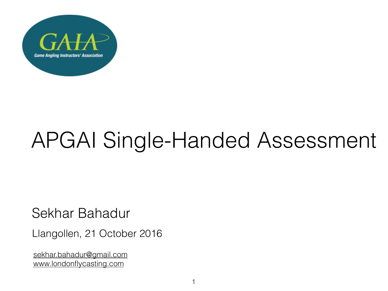

# APGAI Single-Handed Assessment

Sekhar Bahadur

Llangollen, 21 October 2016

[sekhar.bahadur@gmail.com](mailto:sekhar.bahadur@gmail.com) [www.londonflycasting.com](http://www.londonflycasting.com)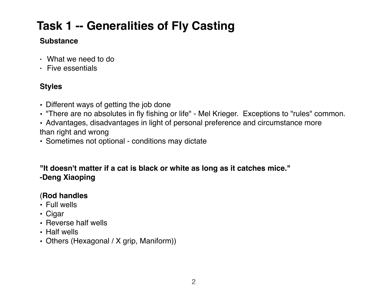# **Task 1 -- Generalities of Fly Casting**

### **Substance**

- What we need to do
- Five essentials

### **Styles**

- Different ways of getting the job done
- "There are no absolutes in fly fishing or life" Mel Krieger. Exceptions to "rules" common.
- Advantages, disadvantages in light of personal preference and circumstance more than right and wrong
- Sometimes not optional conditions may dictate

### **"It doesn't matter if a cat is black or white as long as it catches mice." -Deng Xiaoping**

### (**Rod handles**

- Full wells
- Cigar
- Reverse half wells
- Half wells
- Others (Hexagonal / X grip, Maniform))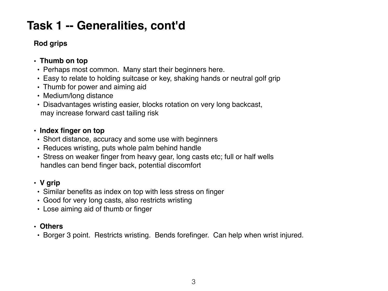### **Rod grips**

### **• Thumb on top**

- Perhaps most common. Many start their beginners here.
- Easy to relate to holding suitcase or key, shaking hands or neutral golf grip
- Thumb for power and aiming aid
- Medium/long distance
- Disadvantages wristing easier, blocks rotation on very long backcast, may increase forward cast tailing risk

### • **Index finger on top**

- Short distance, accuracy and some use with beginners
- Reduces wristing, puts whole palm behind handle
- Stress on weaker finger from heavy gear, long casts etc; full or half wells handles can bend finger back, potential discomfort

### **• V grip**

- Similar benefits as index on top with less stress on finger
- Good for very long casts, also restricts wristing
- Lose aiming aid of thumb or finger

### **• Others**

• Borger 3 point. Restricts wristing. Bends forefinger. Can help when wrist injured.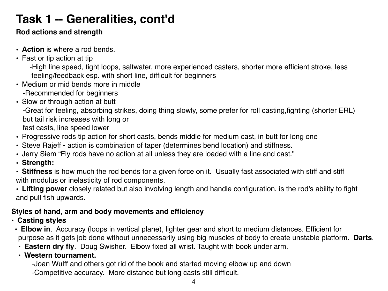### **Rod actions and strength**

- **Action** is where a rod bends.
- Fast or tip action at tip

-High line speed, tight loops, saltwater, more experienced casters, shorter more efficient stroke, less feeling/feedback esp. with short line, difficult for beginners

- Medium or mid bends more in middle -Recommended for beginners
- Slow or through action at butt

-Great for feeling, absorbing strikes, doing thing slowly, some prefer for roll casting,fighting (shorter ERL) but tail risk increases with long or

fast casts, line speed lower

- Progressive rods tip action for short casts, bends middle for medium cast, in butt for long one
- Steve Rajeff action is combination of taper (determines bend location) and stiffness.
- Jerry Siem "Fly rods have no action at all unless they are loaded with a line and cast."
- **• Strength:**

• **Stiffness** is how much the rod bends for a given force on it. Usually fast associated with stiff and stiff with modulus or inelasticity of rod components.

• **Lifting power** closely related but also involving length and handle configuration, is the rod's ability to fight and pull fish upwards.

### **Styles of hand, arm and body movements and efficiency**

- **• Casting styles**
- **Elbow in**. Accuracy (loops in vertical plane), lighter gear and short to medium distances. Efficient for purpose as it gets job done without unnecessarily using big muscles of body to create unstable platform. **Darts**.
- **Eastern dry fly**. Doug Swisher. Elbow fixed all wrist. Taught with book under arm.
- **Western tournament.**

-Joan Wulff and others got rid of the book and started moving elbow up and down

-Competitive accuracy. More distance but long casts still difficult.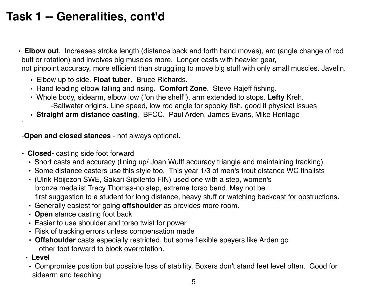• **Elbow out**. Increases stroke length (distance back and forth hand moves), arc (angle change of rod butt or rotation) and involves big muscles more. Longer casts with heavier gear, not pinpoint accuracy, more efficient than struggling to move big stuff with only small muscles. Javelin.

- Elbow up to side. **Float tuber**. Bruce Richards.
- Hand leading elbow falling and rising. **Comfort Zone**. Steve Rajeff fishing.
- Whole body, sidearm, elbow low ("on the shelf"), arm extended to stops. **Lefty** Kreh. -Saltwater origins. Line speed, low rod angle for spooky fish, good if physical issues
- **Straight arm distance casting**. BFCC. Paul Arden, James Evans, Mike Heritage

-**Open and closed stances** - not always optional.

- **Closed** casting side foot forward
	- Short casts and accuracy (lining up/ Joan Wulff accuracy triangle and maintaining tracking)
	- Some distance casters use this style too. This year 1/3 of men's trout distance WC finalists
	- (Ulrik Röijezon SWE, Sakari Siipilehto FIN) used one with a step, women's bronze medalist Tracy Thomas-no step, extreme torso bend. May not be first suggestion to a student for long distance, heavy stuff or watching backcast for obstructions.
	- Generally easiest for going **offshoulder** as provides more room.
	- **Open** stance casting foot back
	- Easier to use shoulder and torso twist for power
	- Risk of tracking errors unless compensation made
	- **Offshoulder** casts especially restricted, but some flexible speyers like Arden go other foot forward to block overrotation.
	- **• Level**

.

• Compromise position but possible loss of stability. Boxers don't stand feet level often. Good for sidearm and teaching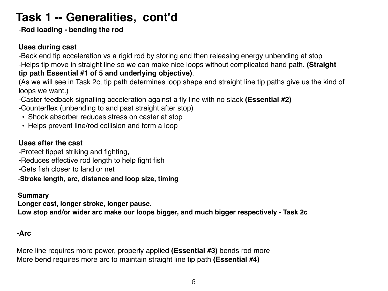-**Rod loading - bending the rod**

### **Uses during cast**

-Back end tip acceleration vs a rigid rod by storing and then releasing energy unbending at stop -Helps tip move in straight line so we can make nice loops without complicated hand path. **(Straight tip path Essential #1 of 5 and underlying objective)**.

(As we will see in Task 2c, tip path determines loop shape and straight line tip paths give us the kind of loops we want.)

-Caster feedback signalling acceleration against a fly line with no slack **(Essential #2)**

-Counterflex (unbending to and past straight after stop)

- Shock absorber reduces stress on caster at stop
- Helps prevent line/rod collision and form a loop

### **Uses after the cast**

-Protect tippet striking and fighting,

- -Reduces effective rod length to help fight fish
- -Gets fish closer to land or net

#### -**Stroke length, arc, distance and loop size, timing**

#### **Summary**

**Longer cast, longer stroke, longer pause.**

**Low stop and/or wider arc make our loops bigger, and much bigger respectively - Task 2c**

#### **-Arc**

More line requires more power, properly applied **(Essential #3)** bends rod more More bend requires more arc to maintain straight line tip path **(Essential #4)**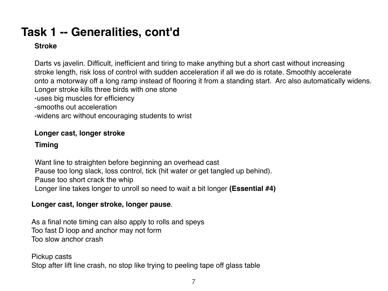### **Stroke**

Darts vs javelin. Difficult, inefficient and tiring to make anything but a short cast without increasing stroke length, risk loss of control with sudden acceleration if all we do is rotate. Smoothly accelerate onto a motorway off a long ramp instead of flooring it from a standing start. Arc also automatically widens. Longer stroke kills three birds with one stone

-uses big muscles for efficiency

-smooths out acceleration

-widens arc without encouraging students to wrist

### **Longer cast, longer stroke**

### **Timing**

Want line to straighten before beginning an overhead cast Pause too long slack, loss control, tick (hit water or get tangled up behind). Pause too short crack the whip Longer line takes longer to unroll so need to wait a bit longer **(Essential #4)**

### **Longer cast, longer stroke, longer pause**.

As a final note timing can also apply to rolls and speys Too fast D loop and anchor may not form Too slow anchor crash

#### Pickup casts

Stop after lift line crash, no stop like trying to peeling tape off glass table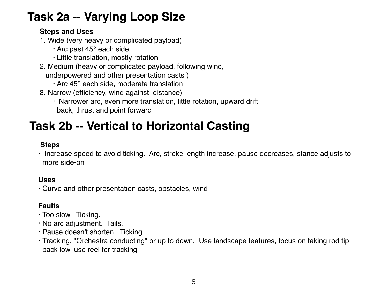# **Task 2a -- Varying Loop Size**

### **Steps and Uses**

- 1. Wide (very heavy or complicated payload)
	- Arc past 45° each side
	- Little translation, mostly rotation
- 2. Medium (heavy or complicated payload, following wind,
	- underpowered and other presentation casts )
		- Arc 45° each side, moderate translation
- 3. Narrow (efficiency, wind against, distance)
	- Narrower arc, even more translation, little rotation, upward drift back, thrust and point forward

# **Task 2b -- Vertical to Horizontal Casting**

### **Steps**

• Increase speed to avoid ticking. Arc, stroke length increase, pause decreases, stance adjusts to more side-on

### **Uses**

• Curve and other presentation casts, obstacles, wind

### **Faults**

- Too slow. Ticking.
- No arc adjustment. Tails.
- Pause doesn't shorten. Ticking.
- Tracking. "Orchestra conducting" or up to down. Use landscape features, focus on taking rod tip back low, use reel for tracking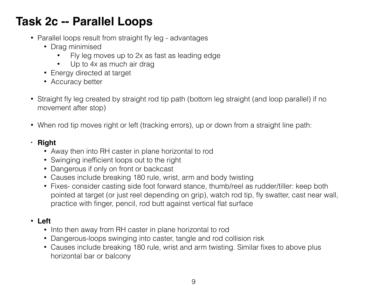# **Task 2c -- Parallel Loops**

- Parallel loops result from straight fly leg advantages
	- Drag minimised
		- Fly leg moves up to 2x as fast as leading edge
		- Up to 4x as much air drag
	- Energy directed at target
	- Accuracy better
- Straight fly leg created by straight rod tip path (bottom leg straight (and loop parallel) if no movement after stop)
- When rod tip moves right or left (tracking errors), up or down from a straight line path:

### **• Right**

- Away then into RH caster in plane horizontal to rod
- Swinging inefficient loops out to the right
- Dangerous if only on front or backcast
- Causes include breaking 180 rule, wrist, arm and body twisting
- Fixes- consider casting side foot forward stance, thumb/reel as rudder/tiller: keep both pointed at target (or just reel depending on grip), watch rod tip, fly swatter, cast near wall, practice with finger, pencil, rod butt against vertical flat surface

### • **Left**

- Into then away from RH caster in plane horizontal to rod
- Dangerous-loops swinging into caster, tangle and rod collision risk
- Causes include breaking 180 rule, wrist and arm twisting. Similar fixes to above plus horizontal bar or balcony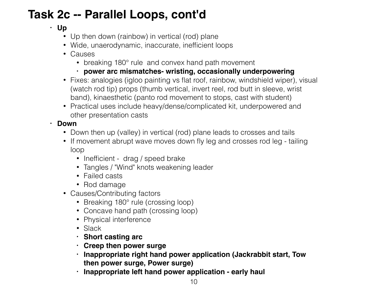# **Task 2c -- Parallel Loops, cont'd**

### **• Up**

- Up then down (rainbow) in vertical (rod) plane
- Wide, unaerodynamic, inaccurate, inefficient loops
- Causes
	- breaking 180° rule and convex hand path movement
	- **• power arc mismatches- wristing, occasionally underpowering**
- Fixes: analogies (igloo painting vs flat roof, rainbow, windshield wiper), visual (watch rod tip) props (thumb vertical, invert reel, rod butt in sleeve, wrist band), kinaesthetic (panto rod movement to stops, cast with student)
- Practical uses include heavy/dense/complicated kit, underpowered and other presentation casts

### **• Down**

- Down then up (valley) in vertical (rod) plane leads to crosses and tails
- If movement abrupt wave moves down fly leg and crosses rod leg tailing loop
	- Inefficient drag / speed brake
	- Tangles / "Wind" knots weakening leader
	- Failed casts
	- Rod damage
- Causes/Contributing factors
	- Breaking 180° rule (crossing loop)
	- Concave hand path (crossing loop)
	- Physical interference
	- Slack
	- **• Short casting arc**
	- **• Creep then power surge**
	- **• Inappropriate right hand power application (Jackrabbit start, Tow then power surge, Power surge)**
	- **• Inappropriate left hand power application early haul**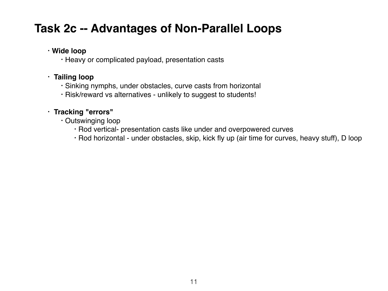### **Task 2c -- Advantages of Non-Parallel Loops**

### **• Wide loop**

• Heavy or complicated payload, presentation casts

### • **Tailing loop**

- Sinking nymphs, under obstacles, curve casts from horizontal
- Risk/reward vs alternatives unlikely to suggest to students!

### • **Tracking "errors"**

- Outswinging loop
	- Rod vertical- presentation casts like under and overpowered curves
	- Rod horizontal under obstacles, skip, kick fly up (air time for curves, heavy stuff), D loop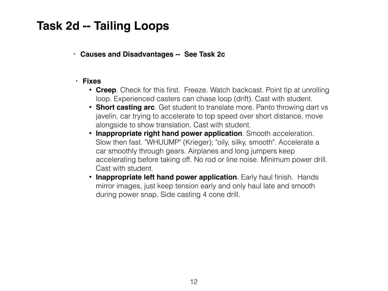### **Task 2d -- Tailing Loops**

**• Causes and Disadvantages -- See Task 2c**

#### **• Fixes**

- **Creep**. Check for this first. Freeze. Watch backcast. Point tip at unrolling loop. Experienced casters can chase loop (drift). Cast with student.
- **Short casting arc**. Get student to translate more. Panto throwing dart vs javelin, car trying to accelerate to top speed over short distance, move alongside to show translation. Cast with student.
- **Inappropriate right hand power application**. Smooth acceleration. Slow then fast. "WHUUMP" (Krieger); "oily, silky, smooth". Accelerate a car smoothly through gears. Airplanes and long jumpers keep accelerating before taking off. No rod or line noise. Minimum power drill. Cast with student.
- **Inappropriate left hand power application**. Early haul finish. Hands mirror images, just keep tension early and only haul late and smooth during power snap. Side casting 4 cone drill.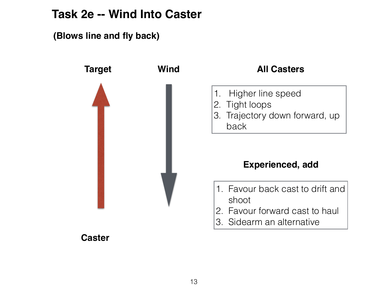### **Task 2e -- Wind Into Caster**

**(Blows line and fly back)**



### **Caster**

### **All Casters**

- 1. Higher line speed
- 2. Tight loops
- 3. Trajectory down forward, up
	- back

### **Experienced, add**

- 1. Favour back cast to drift and shoot
- 2. Favour forward cast to haul
- 3. Sidearm an alternative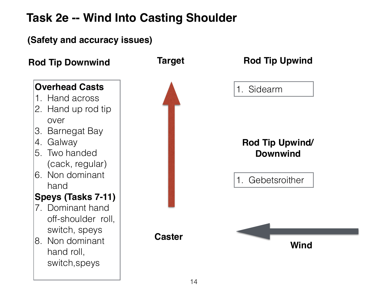# **Task 2e -- Wind Into Casting Shoulder**

### **Target Caster** 1. Sidearm **Overhead Casts** 1. Hand across 2. Hand up rod tip over 3. Barnegat Bay 4. Galway 5. Two handed (cack, regular) 6. Non dominant hand **Speys (Tasks 7-11)** 7. Dominant hand off-shoulder roll, switch, speys 8. Non dominant hand roll, switch,speys **Rod Tip Downwind Target Rod Tip Upwind** 1. Gebetsroither **Rod Tip Upwind/ Downwind (Safety and accuracy issues) Wind**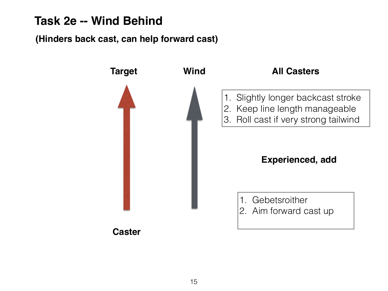### **Task 2e -- Wind Behind**

### **(Hinders back cast, can help forward cast)**

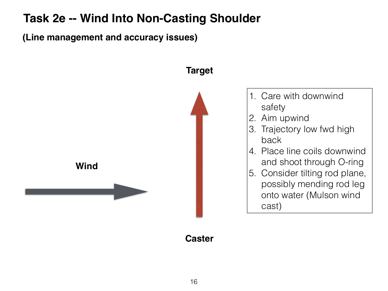### **Task 2e -- Wind Into Non-Casting Shoulder**

**(Line management and accuracy issues)**



16

**Caster**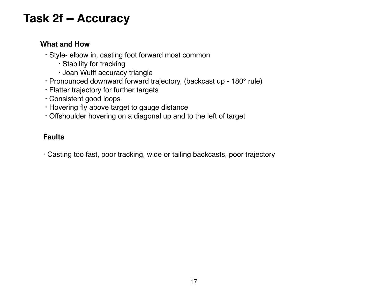### **Task 2f -- Accuracy**

### **What and How**

- Style- elbow in, casting foot forward most common
	- Stability for tracking
	- Joan Wulff accuracy triangle
- Pronounced downward forward trajectory, (backcast up 180° rule)
- Flatter trajectory for further targets
- Consistent good loops
- Hovering fly above target to gauge distance
- Offshoulder hovering on a diagonal up and to the left of target

### **Faults**

• Casting too fast, poor tracking, wide or tailing backcasts, poor trajectory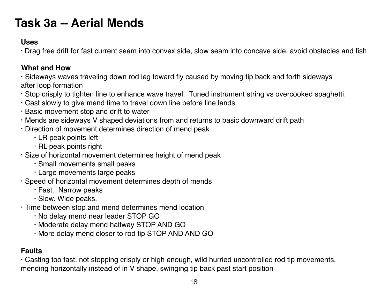### **Task 3a -- Aerial Mends**

#### **Uses**

• Drag free drift for fast current seam into convex side, slow seam into concave side, avoid obstacles and fish

### **What and How**

• Sideways waves traveling down rod leg toward fly caused by moving tip back and forth sideways after loop formation

- Stop crisply to tighten line to enhance wave travel. Tuned instrument string vs overcooked spaghetti.
- Cast slowly to give mend time to travel down line before line lands.
- Basic movement stop and drift to water
- Mends are sideways V shaped deviations from and returns to basic downward drift path
- Direction of movement determines direction of mend peak
	- LR peak points left
	- RL peak points right
- Size of horizontal movement determines height of mend peak
	- Small movements small peaks
	- Large movements large peaks
- Speed of horizontal movement determines depth of mends
	- Fast. Narrow peaks
	- Slow. Wide peaks.
- Time between stop and mend determines mend location
	- No delay mend near leader STOP GO
	- Moderate delay mend halfway STOP AND GO
	- More delay mend closer to rod tip STOP AND AND GO

### **Faults**

• Casting too fast, not stopping crisply or high enough, wild hurried uncontrolled rod tip movements, mending horizontally instead of in V shape, swinging tip back past start position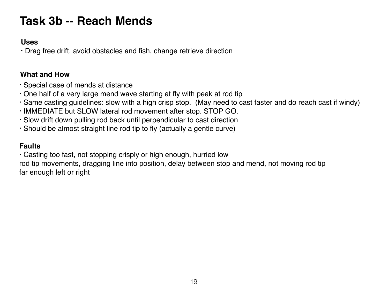# **Task 3b -- Reach Mends**

#### **Uses**

• Drag free drift, avoid obstacles and fish, change retrieve direction

### **What and How**

- Special case of mends at distance
- One half of a very large mend wave starting at fly with peak at rod tip
- Same casting guidelines: slow with a high crisp stop. (May need to cast faster and do reach cast if windy)
- IMMEDIATE but SLOW lateral rod movement after stop. STOP GO.
- Slow drift down pulling rod back until perpendicular to cast direction
- Should be almost straight line rod tip to fly (actually a gentle curve)

### **Faults**

• Casting too fast, not stopping crisply or high enough, hurried low

rod tip movements, dragging line into position, delay between stop and mend, not moving rod tip far enough left or right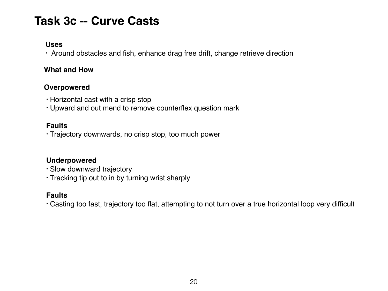## **Task 3c -- Curve Casts**

#### **Uses**

• Around obstacles and fish, enhance drag free drift, change retrieve direction

#### **What and How**

### **Overpowered**

- Horizontal cast with a crisp stop
- Upward and out mend to remove counterflex question mark

#### **Faults**

• Trajectory downwards, no crisp stop, too much power

### **Underpowered**

- Slow downward trajectory
- Tracking tip out to in by turning wrist sharply

### **Faults**

• Casting too fast, trajectory too flat, attempting to not turn over a true horizontal loop very difficult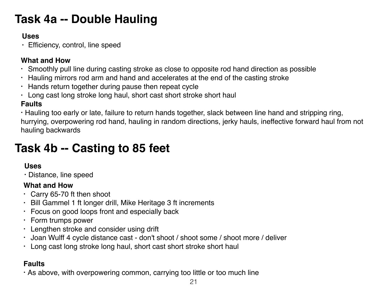# **Task 4a -- Double Hauling**

### **Uses**

• Efficiency, control, line speed

### **What and How**

- Smoothly pull line during casting stroke as close to opposite rod hand direction as possible
- Hauling mirrors rod arm and hand and accelerates at the end of the casting stroke
- Hands return together during pause then repeat cycle
- Long cast long stroke long haul, short cast short stroke short haul

### **Faults**

• Hauling too early or late, failure to return hands together, slack between line hand and stripping ring, hurrying, overpowering rod hand, hauling in random directions, jerky hauls, ineffective forward haul from not hauling backwards

# **Task 4b -- Casting to 85 feet**

### **Uses**

• Distance, line speed

### **What and How**

- Carry 65-70 ft then shoot
- Bill Gammel 1 ft longer drill, Mike Heritage 3 ft increments
- Focus on good loops front and especially back
- Form trumps power
- Lengthen stroke and consider using drift
- Joan Wulff 4 cycle distance cast don't shoot / shoot some / shoot more / deliver
- Long cast long stroke long haul, short cast short stroke short haul

### **Faults**

• As above, with overpowering common, carrying too little or too much line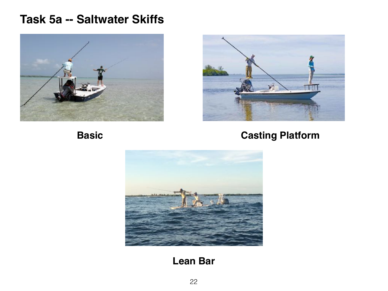### **Task 5a -- Saltwater Skiffs**





### **Basic Casting Platform**



### **Lean Bar**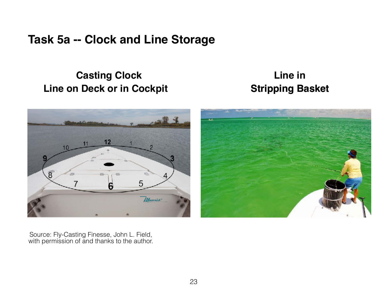### **Task 5a -- Clock and Line Storage**

### **Casting Clock Line on Deck or in Cockpit Stripping Basket**

# **Line in**





Source: Fly-Casting Finesse, John L. Field, with permission of and thanks to the author.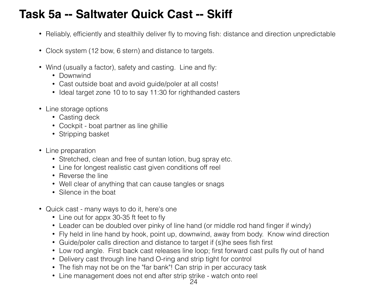## **Task 5a -- Saltwater Quick Cast -- Skiff**

- Reliably, efficiently and stealthily deliver fly to moving fish: distance and direction unpredictable
- Clock system (12 bow, 6 stern) and distance to targets.
- Wind (usually a factor), safety and casting. Line and fly:
	- Downwind
	- Cast outside boat and avoid guide/poler at all costs!
	- Ideal target zone 10 to to say 11:30 for righthanded casters
- Line storage options
	- Casting deck
	- Cockpit boat partner as line ghillie
	- Stripping basket
- Line preparation
	- Stretched, clean and free of suntan lotion, bug spray etc.
	- Line for longest realistic cast given conditions off reel
	- Reverse the line
	- Well clear of anything that can cause tangles or snags
	- Silence in the boat
- Quick cast many ways to do it, here's one
	- Line out for appx 30-35 ft feet to fly
	- Leader can be doubled over pinky of line hand (or middle rod hand finger if windy)
	- Fly held in line hand by hook, point up, downwind, away from body. Know wind direction
	- Guide/poler calls direction and distance to target if (s)he sees fish first
	- Low rod angle. First back cast releases line loop; first forward cast pulls fly out of hand
	- Delivery cast through line hand O-ring and strip tight for control
	- The fish may not be on the "far bank"! Can strip in per accuracy task
	- Line management does not end after strip strike watch onto reel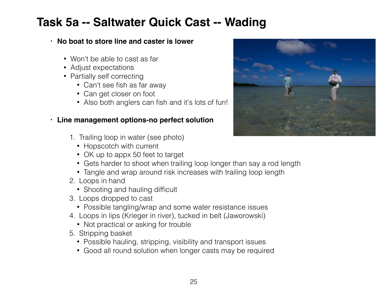### **Task 5a -- Saltwater Quick Cast -- Wading**

### **• No boat to store line and caster is lower**

- Won't be able to cast as far
- Adjust expectations
- Partially self correcting
	- Can't see fish as far away
	- Can get closer on foot
	- Also both anglers can fish and it's lots of fun!

#### **• Line management options-no perfect solution**

- 1. Trailing loop in water (see photo)
	- Hopscotch with current
	- OK up to appx 50 feet to target
	- Gets harder to shoot when trailing loop longer than say a rod length
	- Tangle and wrap around risk increases with trailing loop length
- 2. Loops in hand
	- Shooting and hauling difficult
- 3. Loops dropped to cast
	- Possible tangling/wrap and some water resistance issues
- 4. Loops in lips (Krieger in river), tucked in belt (Jaworowski)
	- Not practical or asking for trouble
- 5. Stripping basket
	- Possible hauling, stripping, visibility and transport issues
	- Good all round solution when longer casts may be required

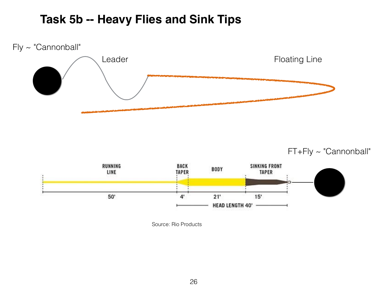### **Task 5b -- Heavy Flies and Sink Tips**



FT+Fly ~ "Cannonball"



Source: Rio Products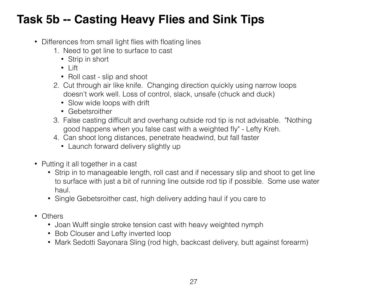# **Task 5b -- Casting Heavy Flies and Sink Tips**

- Differences from small light flies with floating lines
	- 1. Need to get line to surface to cast
		- Strip in short
		- Lift
		- Roll cast slip and shoot
	- 2. Cut through air like knife. Changing direction quickly using narrow loops doesn't work well. Loss of control, slack, unsafe (chuck and duck)
		- Slow wide loops with drift
		- Gebetsroither
	- 3. False casting difficult and overhang outside rod tip is not advisable. "Nothing good happens when you false cast with a weighted fly" - Lefty Kreh.
	- 4. Can shoot long distances, penetrate headwind, but fall faster
		- Launch forward delivery slightly up
- Putting it all together in a cast
	- Strip in to manageable length, roll cast and if necessary slip and shoot to get line to surface with just a bit of running line outside rod tip if possible. Some use water haul.
	- Single Gebetsroither cast, high delivery adding haul if you care to
- Others
	- Joan Wulff single stroke tension cast with heavy weighted nymph
	- Bob Clouser and Lefty inverted loop
	- Mark Sedotti Sayonara Sling (rod high, backcast delivery, butt against forearm)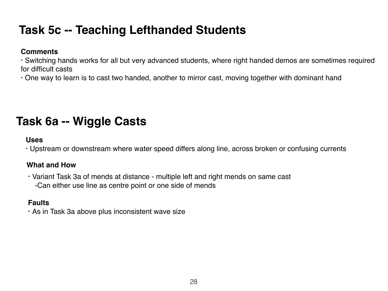# **Task 5c -- Teaching Lefthanded Students**

#### **Comments**

• Switching hands works for all but very advanced students, where right handed demos are sometimes required for difficult casts

• One way to learn is to cast two handed, another to mirror cast, moving together with dominant hand

# **Task 6a -- Wiggle Casts**

### **Uses**

• Upstream or downstream where water speed differs along line, across broken or confusing currents

### **What and How**

• Variant Task 3a of mends at distance - multiple left and right mends on same cast -Can either use line as centre point or one side of mends

#### **Faults**

• As in Task 3a above plus inconsistent wave size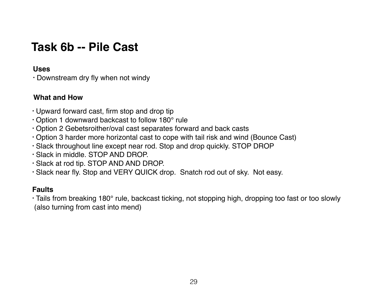### **Task 6b -- Pile Cast**

#### **Uses**

• Downstream dry fly when not windy

### **What and How**

- Upward forward cast, firm stop and drop tip
- Option 1 downward backcast to follow 180° rule
- Option 2 Gebetsroither/oval cast separates forward and back casts
- Option 3 harder more horizontal cast to cope with tail risk and wind (Bounce Cast)
- Slack throughout line except near rod. Stop and drop quickly. STOP DROP
- Slack in middle. STOP AND DROP.
- Slack at rod tip. STOP AND AND DROP.
- Slack near fly. Stop and VERY QUICK drop. Snatch rod out of sky. Not easy.

### **Faults**

• Tails from breaking 180° rule, backcast ticking, not stopping high, dropping too fast or too slowly (also turning from cast into mend)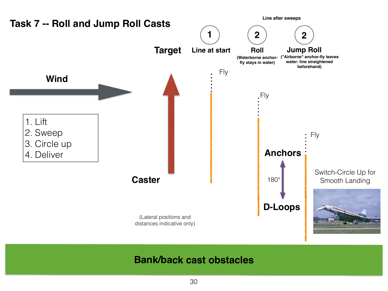

### **Bank/back cast obstacles**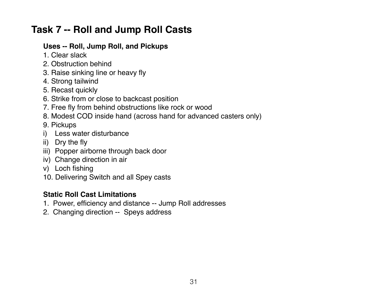### **Task 7 -- Roll and Jump Roll Casts**

### **Uses -- Roll, Jump Roll, and Pickups**

- 1. Clear slack
- 2. Obstruction behind
- 3. Raise sinking line or heavy fly
- 4. Strong tailwind
- 5. Recast quickly
- 6. Strike from or close to backcast position
- 7. Free fly from behind obstructions like rock or wood
- 8. Modest COD inside hand (across hand for advanced casters only)
- 9. Pickups
- i) Less water disturbance
- ii) Dry the fly
- iii) Popper airborne through back door
- iv) Change direction in air
- v) Loch fishing
- 10. Delivering Switch and all Spey casts

### **Static Roll Cast Limitations**

- 1. Power, efficiency and distance -- Jump Roll addresses
- 2. Changing direction -- Speys address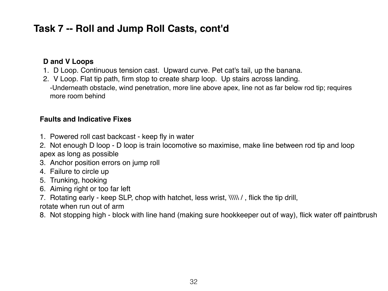### **Task 7 -- Roll and Jump Roll Casts, cont'd**

### **D and V Loops**

- 1. D Loop. Continuous tension cast. Upward curve. Pet cat's tail, up the banana.
- 2. V Loop. Flat tip path, firm stop to create sharp loop. Up stairs across landing. -Underneath obstacle, wind penetration, more line above apex, line not as far below rod tip; requires more room behind

### **Faults and Indicative Fixes**

- 1. Powered roll cast backcast keep fly in water
- 2. Not enough D loop D loop is train locomotive so maximise, make line between rod tip and loop apex as long as possible
- 3. Anchor position errors on jump roll
- 4. Failure to circle up
- 5. Trunking, hooking
- 6. Aiming right or too far left
- 7. Rotating early keep SLP, chop with hatchet, less wrist,  $\|\|\|$  , flick the tip drill,
- rotate when run out of arm
- 8. Not stopping high block with line hand (making sure hookkeeper out of way), flick water off paintbrush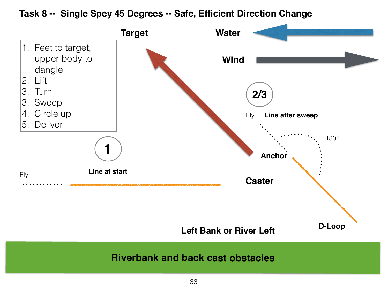**Task 8 -- Single Spey 45 Degrees -- Safe, Efficient Direction Change**

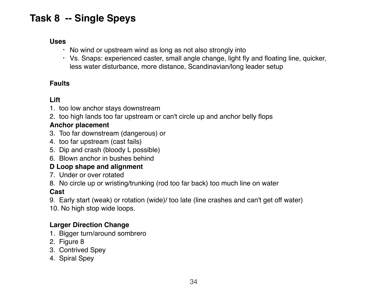### **Task 8 -- Single Speys**

#### **Uses**

- No wind or upstream wind as long as not also strongly into
- Vs. Snaps: experienced caster, small angle change, light fly and floating line, quicker, less water disturbance, more distance, Scandinavian/long leader setup

### **Faults**

### **Lift**

- 1. too low anchor stays downstream
- 2. too high lands too far upstream or can't circle up and anchor belly flops

#### **Anchor placement**

- 3. Too far downstream (dangerous) or
- 4. too far upstream (cast fails)
- 5. Dip and crash (bloody L possible)
- 6. Blown anchor in bushes behind

### **D Loop shape and alignment**

- 7. Under or over rotated
- 8. No circle up or wristing/trunking (rod too far back) too much line on water

#### **Cast**

9. Early start (weak) or rotation (wide)/ too late (line crashes and can't get off water)

10. No high stop wide loops.

### **Larger Direction Change**

- 1. Bigger turn/around sombrero
- 2. Figure 8
- 3. Contrived Spey
- 4. Spiral Spey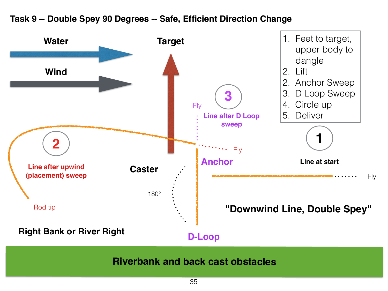

### **Task 9 -- Double Spey 90 Degrees -- Safe, Efficient Direction Change**

**Riverbank and back cast obstacles**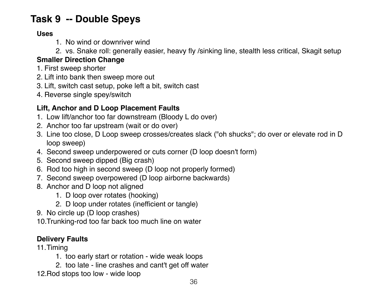### **Task 9 -- Double Speys**

### **Uses**

- 1. No wind or downriver wind
- 2. vs. Snake roll: generally easier, heavy fly /sinking line, stealth less critical, Skagit setup

### **Smaller Direction Change**

- 1. First sweep shorter
- 2. Lift into bank then sweep more out
- 3. Lift, switch cast setup, poke left a bit, switch cast
- 4. Reverse single spey/switch

### **Lift, Anchor and D Loop Placement Faults**

- 1. Low lift/anchor too far downstream (Bloody L do over)
- 2. Anchor too far upstream (wait or do over)
- 3. Line too close, D Loop sweep crosses/creates slack ("oh shucks"; do over or elevate rod in D loop sweep)
- 4. Second sweep underpowered or cuts corner (D loop doesn't form)
- 5. Second sweep dipped (Big crash)
- 6. Rod too high in second sweep (D loop not properly formed)
- 7. Second sweep overpowered (D loop airborne backwards)
- 8. Anchor and D loop not aligned
	- 1. D loop over rotates (hooking)
	- 2. D loop under rotates (inefficient or tangle)
- 9. No circle up (D loop crashes)
- 10.Trunking-rod too far back too much line on water

### **Delivery Faults**

- 11.Timing
	- 1. too early start or rotation wide weak loops
	- 2. too late line crashes and cant't get off water
- 12.Rod stops too low wide loop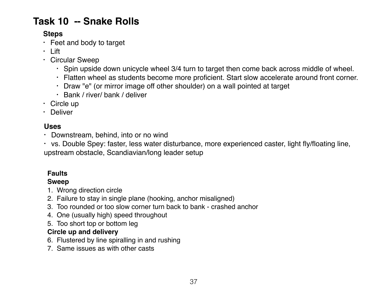### **Task 10 -- Snake Rolls**

### **Steps**

- Feet and body to target
- Lift
- Circular Sweep
	- Spin upside down unicycle wheel 3/4 turn to target then come back across middle of wheel.
	- Flatten wheel as students become more proficient. Start slow accelerate around front corner.
	- Draw "e" (or mirror image off other shoulder) on a wall pointed at target
	- Bank / river/ bank / deliver
- Circle up
- Deliver

### **Uses**

**•** Downstream, behind, into or no wind

**•** vs. Double Spey: faster, less water disturbance, more experienced caster, light fly/floating line, upstream obstacle, Scandiavian/long leader setup

### **Faults**

#### **Sweep**

- 1. Wrong direction circle
- 2. Failure to stay in single plane (hooking, anchor misaligned)
- 3. Too rounded or too slow corner turn back to bank crashed anchor
- 4. One (usually high) speed throughout
- 5. Too short top or bottom leg

### **Circle up and delivery**

- 6. Flustered by line spiralling in and rushing
- 7. Same issues as with other casts